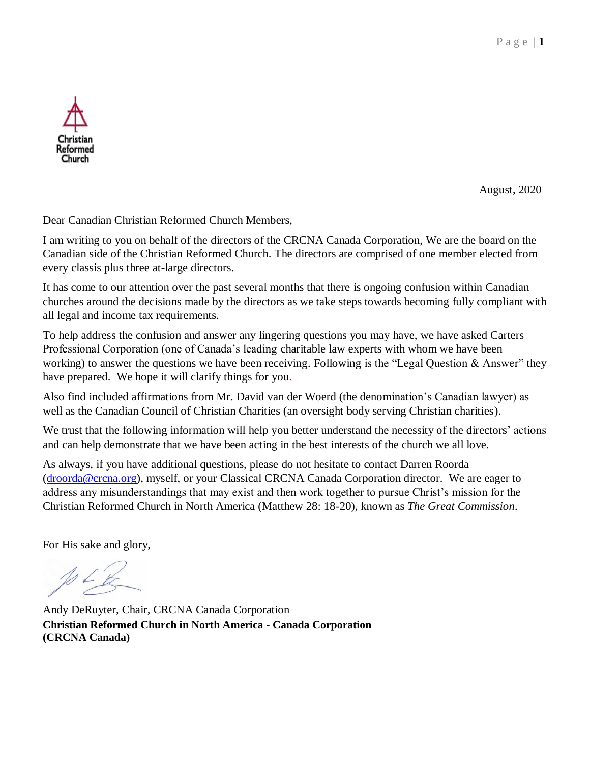August, 2020

Dear Canadian Christian Reformed Church Members,

Reformed Church

I am writing to you on behalf of the directors of the CRCNA Canada Corporation, We are the board on the Canadian side of the Christian Reformed Church. The directors are comprised of one member elected from every classis plus three at-large directors.

It has come to our attention over the past several months that there is ongoing confusion within Canadian churches around the decisions made by the directors as we take steps towards becoming fully compliant with all legal and income tax requirements.

To help address the confusion and answer any lingering questions you may have, we have asked Carters Professional Corporation (one of Canada's leading charitable law experts with whom we have been working) to answer the questions we have been receiving. Following is the "Legal Question & Answer" they have prepared. We hope it will clarify things for you-

Also find included affirmations from Mr. David van der Woerd (the denomination's Canadian lawyer) as well as the Canadian Council of Christian Charities (an oversight body serving Christian charities).

We trust that the following information will help you better understand the necessity of the directors' actions and can help demonstrate that we have been acting in the best interests of the church we all love.

As always, if you have additional questions, please do not hesitate to contact Darren Roorda [\(droorda@crcna.org\)](mailto:droorda@crcna.org), myself, or your Classical CRCNA Canada Corporation director. We are eager to address any misunderstandings that may exist and then work together to pursue Christ's mission for the Christian Reformed Church in North America (Matthew 28: 18-20), known as *The Great Commission*.

For His sake and glory,

Andy DeRuyter, Chair, CRCNA Canada Corporation **Christian Reformed Church in North America - Canada Corporation (CRCNA Canada)**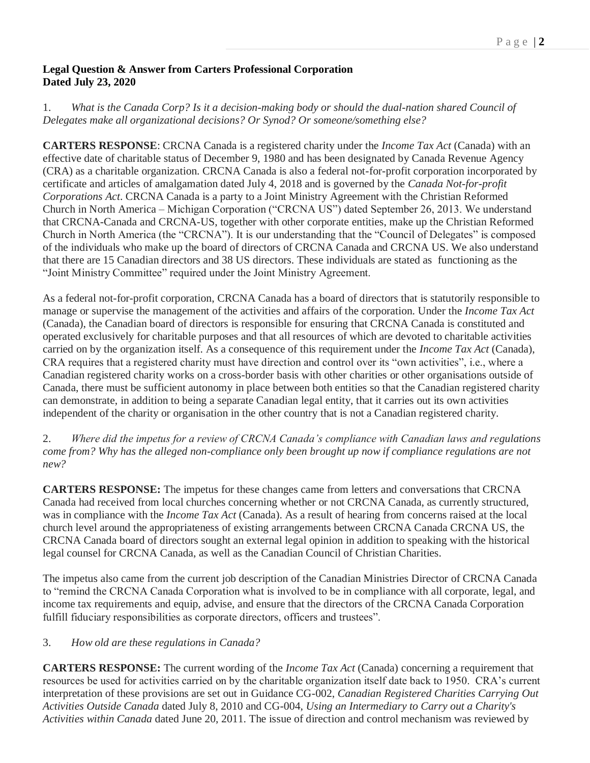# **Legal Question & Answer from Carters Professional Corporation Dated July 23, 2020**

1. *What is the Canada Corp? Is it a decision-making body or should the dual-nation shared Council of Delegates make all organizational decisions? Or Synod? Or someone/something else?*

**CARTERS RESPONSE**: CRCNA Canada is a registered charity under the *Income Tax Act* (Canada) with an effective date of charitable status of December 9, 1980 and has been designated by Canada Revenue Agency (CRA) as a charitable organization. CRCNA Canada is also a federal not-for-profit corporation incorporated by certificate and articles of amalgamation dated July 4, 2018 and is governed by the *Canada Not-for-profit Corporations Act*. CRCNA Canada is a party to a Joint Ministry Agreement with the Christian Reformed Church in North America – Michigan Corporation ("CRCNA US") dated September 26, 2013. We understand that CRCNA-Canada and CRCNA-US, together with other corporate entities, make up the Christian Reformed Church in North America (the "CRCNA"). It is our understanding that the "Council of Delegates" is composed of the individuals who make up the board of directors of CRCNA Canada and CRCNA US. We also understand that there are 15 Canadian directors and 38 US directors. These individuals are stated as functioning as the "Joint Ministry Committee" required under the Joint Ministry Agreement.

As a federal not-for-profit corporation, CRCNA Canada has a board of directors that is statutorily responsible to manage or supervise the management of the activities and affairs of the corporation. Under the *Income Tax Act*  (Canada), the Canadian board of directors is responsible for ensuring that CRCNA Canada is constituted and operated exclusively for charitable purposes and that all resources of which are devoted to charitable activities carried on by the organization itself. As a consequence of this requirement under the *Income Tax Act* (Canada), CRA requires that a registered charity must have direction and control over its "own activities", i.e., where a Canadian registered charity works on a cross-border basis with other charities or other organisations outside of Canada, there must be sufficient autonomy in place between both entities so that the Canadian registered charity can demonstrate, in addition to being a separate Canadian legal entity, that it carries out its own activities independent of the charity or organisation in the other country that is not a Canadian registered charity.

2. *Where did the impetus for a review of CRCNA Canada's compliance with Canadian laws and regulations come from? Why has the alleged non-compliance only been brought up now if compliance regulations are not new?* 

**CARTERS RESPONSE:** The impetus for these changes came from letters and conversations that CRCNA Canada had received from local churches concerning whether or not CRCNA Canada, as currently structured, was in compliance with the *Income Tax Act* (Canada). As a result of hearing from concerns raised at the local church level around the appropriateness of existing arrangements between CRCNA Canada CRCNA US, the CRCNA Canada board of directors sought an external legal opinion in addition to speaking with the historical legal counsel for CRCNA Canada, as well as the Canadian Council of Christian Charities.

The impetus also came from the current job description of the Canadian Ministries Director of CRCNA Canada to "remind the CRCNA Canada Corporation what is involved to be in compliance with all corporate, legal, and income tax requirements and equip, advise, and ensure that the directors of the CRCNA Canada Corporation fulfill fiduciary responsibilities as corporate directors, officers and trustees".

# 3. *How old are these regulations in Canada?*

**CARTERS RESPONSE:** The current wording of the *Income Tax Act* (Canada) concerning a requirement that resources be used for activities carried on by the charitable organization itself date back to 1950. CRA's current interpretation of these provisions are set out in Guidance CG-002, *Canadian Registered Charities Carrying Out Activities Outside Canada* dated July 8, 2010 and CG-004, *Using an Intermediary to Carry out a Charity's Activities within Canada* dated June 20, 2011. The issue of direction and control mechanism was reviewed by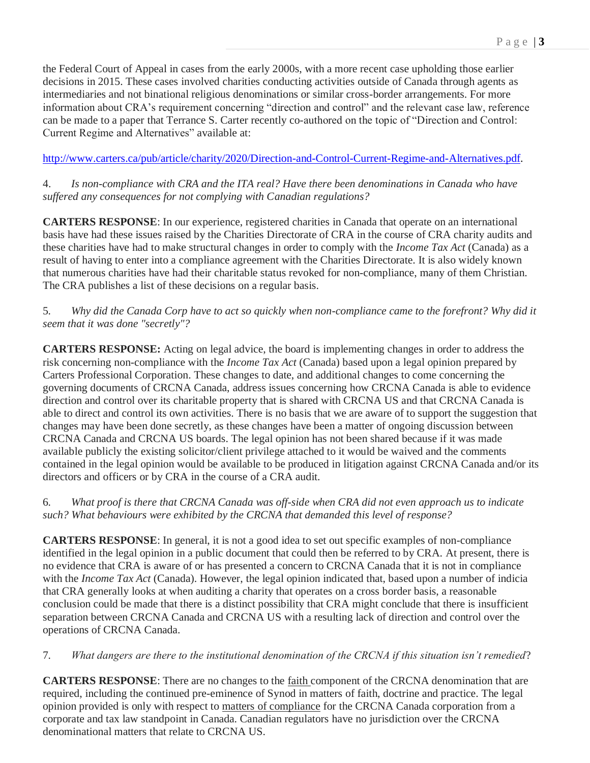the Federal Court of Appeal in cases from the early 2000s, with a more recent case upholding those earlier decisions in 2015. These cases involved charities conducting activities outside of Canada through agents as intermediaries and not binational religious denominations or similar cross-border arrangements. For more information about CRA's requirement concerning "direction and control" and the relevant case law, reference can be made to a paper that Terrance S. Carter recently co-authored on the topic of "Direction and Control: Current Regime and Alternatives" available at:

[http://www.carters.ca/pub/article/charity/2020/Direction-and-Control-Current-Regime-and-Alternatives.pdf.](http://www.carters.ca/pub/article/charity/2020/Direction-and-Control-Current-Regime-and-Alternatives.pdf)

4. *Is non-compliance with CRA and the ITA real? Have there been denominations in Canada who have suffered any consequences for not complying with Canadian regulations?*

**CARTERS RESPONSE**: In our experience, registered charities in Canada that operate on an international basis have had these issues raised by the Charities Directorate of CRA in the course of CRA charity audits and these charities have had to make structural changes in order to comply with the *Income Tax Act* (Canada) as a result of having to enter into a compliance agreement with the Charities Directorate. It is also widely known that numerous charities have had their charitable status revoked for non-compliance, many of them Christian. The CRA publishes a list of these decisions on a regular basis.

#### 5*. Why did the Canada Corp have to act so quickly when non-compliance came to the forefront? Why did it seem that it was done "secretly"?*

**CARTERS RESPONSE:** Acting on legal advice, the board is implementing changes in order to address the risk concerning non-compliance with the *Income Tax Act* (Canada) based upon a legal opinion prepared by Carters Professional Corporation. These changes to date, and additional changes to come concerning the governing documents of CRCNA Canada, address issues concerning how CRCNA Canada is able to evidence direction and control over its charitable property that is shared with CRCNA US and that CRCNA Canada is able to direct and control its own activities. There is no basis that we are aware of to support the suggestion that changes may have been done secretly, as these changes have been a matter of ongoing discussion between CRCNA Canada and CRCNA US boards. The legal opinion has not been shared because if it was made available publicly the existing solicitor/client privilege attached to it would be waived and the comments contained in the legal opinion would be available to be produced in litigation against CRCNA Canada and/or its directors and officers or by CRA in the course of a CRA audit.

# 6*. What proof is there that CRCNA Canada was off-side when CRA did not even approach us to indicate such? What behaviours were exhibited by the CRCNA that demanded this level of response?*

**CARTERS RESPONSE**: In general, it is not a good idea to set out specific examples of non-compliance identified in the legal opinion in a public document that could then be referred to by CRA. At present, there is no evidence that CRA is aware of or has presented a concern to CRCNA Canada that it is not in compliance with the *Income Tax Act* (Canada). However, the legal opinion indicated that, based upon a number of indicia that CRA generally looks at when auditing a charity that operates on a cross border basis, a reasonable conclusion could be made that there is a distinct possibility that CRA might conclude that there is insufficient separation between CRCNA Canada and CRCNA US with a resulting lack of direction and control over the operations of CRCNA Canada.

# 7*. What dangers are there to the institutional denomination of the CRCNA if this situation isn't remedied*?

**CARTERS RESPONSE**: There are no changes to the faith component of the CRCNA denomination that are required, including the continued pre-eminence of Synod in matters of faith, doctrine and practice. The legal opinion provided is only with respect to matters of compliance for the CRCNA Canada corporation from a corporate and tax law standpoint in Canada. Canadian regulators have no jurisdiction over the CRCNA denominational matters that relate to CRCNA US.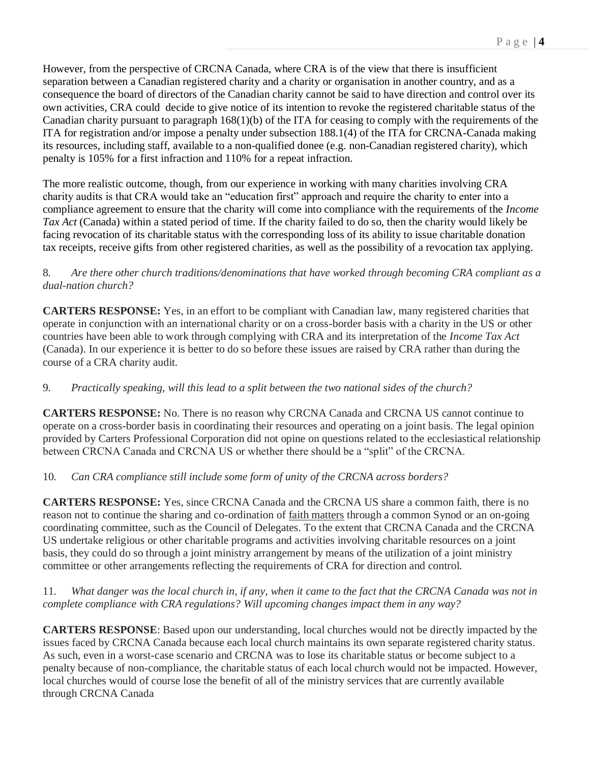However, from the perspective of CRCNA Canada, where CRA is of the view that there is insufficient separation between a Canadian registered charity and a charity or organisation in another country, and as a consequence the board of directors of the Canadian charity cannot be said to have direction and control over its own activities, CRA could decide to give notice of its intention to revoke the registered charitable status of the Canadian charity pursuant to paragraph 168(1)(b) of the ITA for ceasing to comply with the requirements of the ITA for registration and/or impose a penalty under subsection 188.1(4) of the ITA for CRCNA-Canada making its resources, including staff, available to a non-qualified donee (e.g. non-Canadian registered charity), which penalty is 105% for a first infraction and 110% for a repeat infraction.

The more realistic outcome, though, from our experience in working with many charities involving CRA charity audits is that CRA would take an "education first" approach and require the charity to enter into a compliance agreement to ensure that the charity will come into compliance with the requirements of the *Income Tax Act* (Canada) within a stated period of time. If the charity failed to do so, then the charity would likely be facing revocation of its charitable status with the corresponding loss of its ability to issue charitable donation tax receipts, receive gifts from other registered charities, as well as the possibility of a revocation tax applying.

### 8*. Are there other church traditions/denominations that have worked through becoming CRA compliant as a dual-nation church?*

**CARTERS RESPONSE:** Yes, in an effort to be compliant with Canadian law, many registered charities that operate in conjunction with an international charity or on a cross-border basis with a charity in the US or other countries have been able to work through complying with CRA and its interpretation of the *Income Tax Act*  (Canada). In our experience it is better to do so before these issues are raised by CRA rather than during the course of a CRA charity audit.

# 9*. Practically speaking, will this lead to a split between the two national sides of the church?*

**CARTERS RESPONSE:** No. There is no reason why CRCNA Canada and CRCNA US cannot continue to operate on a cross-border basis in coordinating their resources and operating on a joint basis. The legal opinion provided by Carters Professional Corporation did not opine on questions related to the ecclesiastical relationship between CRCNA Canada and CRCNA US or whether there should be a "split" of the CRCNA.

# 10*. Can CRA compliance still include some form of unity of the CRCNA across borders?*

**CARTERS RESPONSE:** Yes, since CRCNA Canada and the CRCNA US share a common faith, there is no reason not to continue the sharing and co-ordination of faith matters through a common Synod or an on-going coordinating committee, such as the Council of Delegates. To the extent that CRCNA Canada and the CRCNA US undertake religious or other charitable programs and activities involving charitable resources on a joint basis, they could do so through a joint ministry arrangement by means of the utilization of a joint ministry committee or other arrangements reflecting the requirements of CRA for direction and control.

# 11*. What danger was the local church in, if any, when it came to the fact that the CRCNA Canada was not in complete compliance with CRA regulations? Will upcoming changes impact them in any way?*

**CARTERS RESPONSE**: Based upon our understanding, local churches would not be directly impacted by the issues faced by CRCNA Canada because each local church maintains its own separate registered charity status. As such, even in a worst-case scenario and CRCNA was to lose its charitable status or become subject to a penalty because of non-compliance, the charitable status of each local church would not be impacted. However, local churches would of course lose the benefit of all of the ministry services that are currently available through CRCNA Canada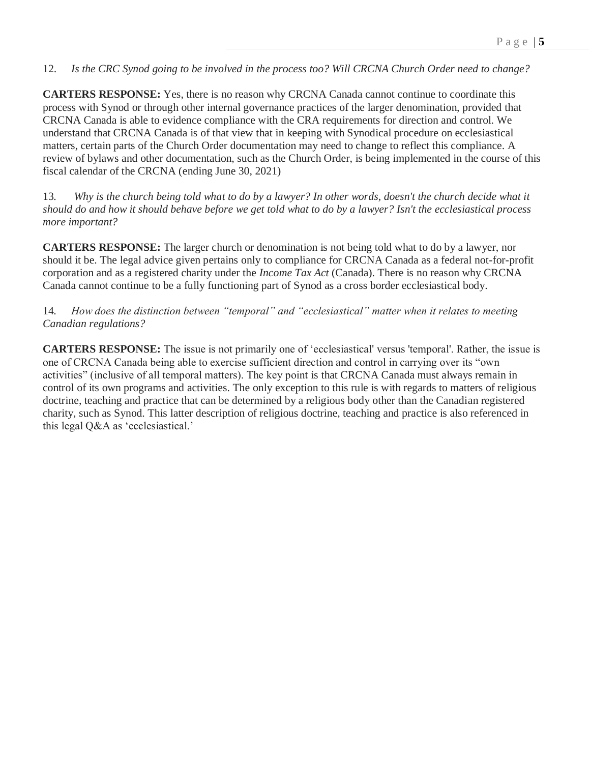#### 12. *Is the CRC Synod going to be involved in the process too? Will CRCNA Church Order need to change?*

**CARTERS RESPONSE:** Yes, there is no reason why CRCNA Canada cannot continue to coordinate this process with Synod or through other internal governance practices of the larger denomination, provided that CRCNA Canada is able to evidence compliance with the CRA requirements for direction and control. We understand that CRCNA Canada is of that view that in keeping with Synodical procedure on ecclesiastical matters, certain parts of the Church Order documentation may need to change to reflect this compliance. A review of bylaws and other documentation, such as the Church Order, is being implemented in the course of this fiscal calendar of the CRCNA (ending June 30, 2021)

13*. Why is the church being told what to do by a lawyer? In other words, doesn't the church decide what it should do and how it should behave before we get told what to do by a lawyer? Isn't the ecclesiastical process more important?* 

**CARTERS RESPONSE:** The larger church or denomination is not being told what to do by a lawyer, nor should it be. The legal advice given pertains only to compliance for CRCNA Canada as a federal not-for-profit corporation and as a registered charity under the *Income Tax Act* (Canada). There is no reason why CRCNA Canada cannot continue to be a fully functioning part of Synod as a cross border ecclesiastical body.

### 14*. How does the distinction between "temporal" and "ecclesiastical" matter when it relates to meeting Canadian regulations?*

**CARTERS RESPONSE:** The issue is not primarily one of 'ecclesiastical' versus 'temporal'. Rather, the issue is one of CRCNA Canada being able to exercise sufficient direction and control in carrying over its "own activities" (inclusive of all temporal matters). The key point is that CRCNA Canada must always remain in control of its own programs and activities. The only exception to this rule is with regards to matters of religious doctrine, teaching and practice that can be determined by a religious body other than the Canadian registered charity, such as Synod. This latter description of religious doctrine, teaching and practice is also referenced in this legal Q&A as 'ecclesiastical.'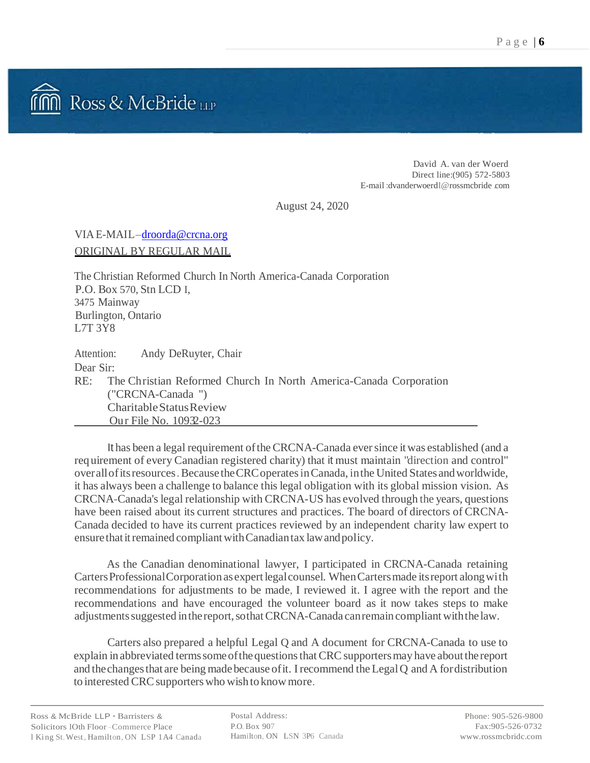

David A. van der Woerd Direct line:(905) 572-5803 E-mail :dvanderwoerdl@rossmcbride .com

August 24, 2020

VIAE-MAIL-droorda@crcna.org ORIGINAL BY REGULAR MAIL

The Christian Reformed Church In North America-Canada Corporation P.O. Box 570, Stn LCD I, 3475 Mainway Burlington, Ontario L7T 3Y8

| Attention: | Andy DeRuyter, Chair                                                  |
|------------|-----------------------------------------------------------------------|
| Dear Sir:  |                                                                       |
|            | RE: The Christian Reformed Church In North America-Canada Corporation |
|            | $('CRCNA-Canada'')$                                                   |
|            | Charitable Status Review                                              |
|            | Our File No. 10932-023                                                |

It has been a legal requirement of the CRCNA-Canada ever since it was established (and a requirement of every Canadian registered charity) that it must maintain "direction and control" overallofitsresources.Because theCRCoperatesinCanada, inthe United States andworldwide, it has always been a challenge to balance this legal obligation with its global mission vision. As CRCNA-Canada'slegal relationship with CRCNA-US has evolved through the years, questions have been raised about its current structures and practices. The board of directors of CRCNA-Canada decided to have its current practices reviewed by an independent charity law expert to ensure that it remained compliant with Canadiantax law and policy.

As the Canadian denominational lawyer, I participated in CRCNA-Canada retaining CartersProfessionalCorporation asexpert legalcounsel. WhenCartersmade itsreport alongwith recommendations for adjustments to be made, I reviewed it. I agree with the report and the recommendations and have encouraged the volunteer board as it now takes steps to make adjustments suggested in the report, so that CRCNA-Canada can remain compliant with the law.

Carters also prepared a helpful Legal Q and A document for CRCNA-Canada to use to explain in abbreviated terms some of the questions that CRC supporters may have about the report and thechangesthat are being madebecause ofit. Irecommend the LegalQ and A fordistribution to interested CRC supporters who wish to know more.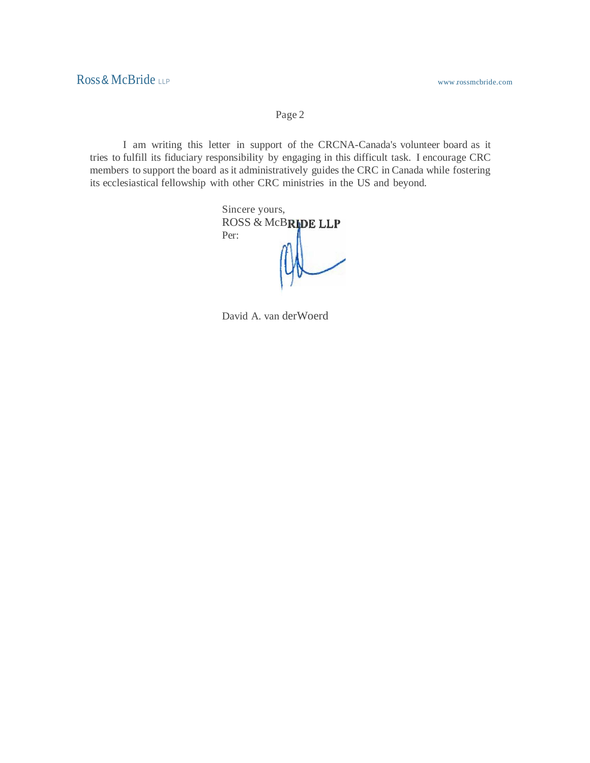Page 2

I am writing this letter in support of the CRCNA-Canada's volunteer board as it tries to fulfill its fiduciary responsibility by engaging in this difficult task. I encourage CRC members to support the board as it administratively guides the CRC in Canada while fostering its ecclesiastical fellowship with other CRC ministries in the US and beyond.

> Sincere yours, ROSS & McBRIDE LLP Per:

David A. van derWoerd